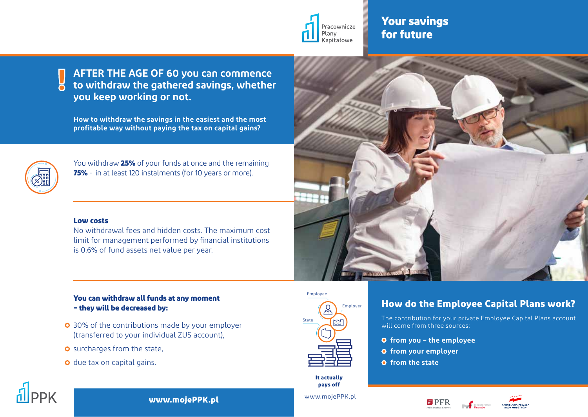

## **Your savings for future**

**AFTER THE AGE OF 60 you can commence to withdraw the gathered savings, whether you keep working or not. !**

**How to withdraw the savings in the easiest and the most profitable way without paying the tax on capital gains?**



You withdraw **25%** of your funds at once and the remaining **75%** - in at least 120 instalments (for 10 years or more).

#### **Low costs**

No withdrawal fees and hidden costs. The maximum cost limit for management performed by financial institutions is 0.6% of fund assets net value per year.

#### **You can withdraw all funds at any moment – they will be decreased by:**

- $\circ$  30% of the contributions made by your employer (transferred to your individual ZUS account),
- $\circ$  surcharges from the state,
- $\bullet$  due tax on capital gains.



**It actually pays off**



## **How do the Employee Capital Plans work?**

The contribution for your private Employee Capital Plans account will come from three sources:

- **from you the employee**
- **from your employer**
- **O** from the state







#### **www.mojePPK.pl**

www.mojePPK.pl